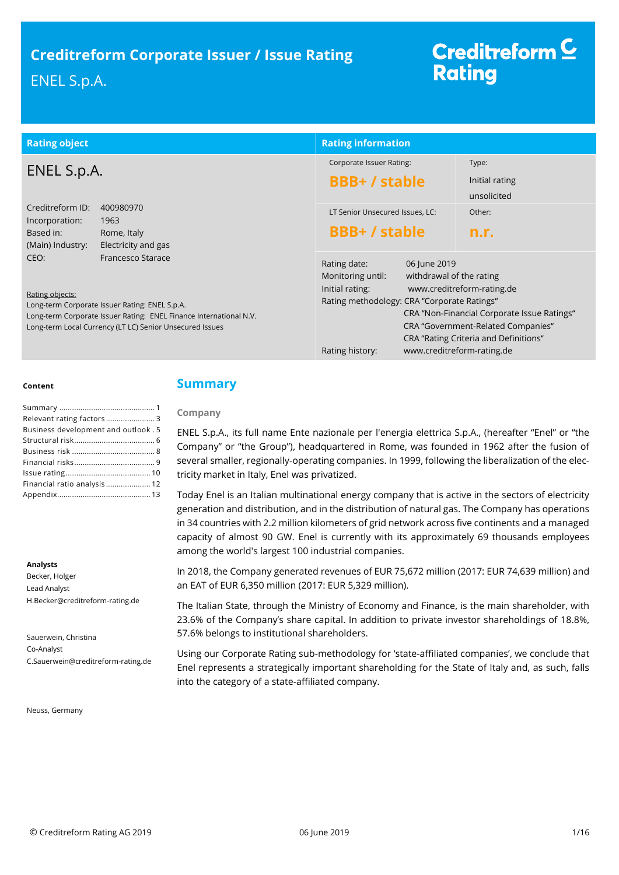| <b>Rating object</b>                                                                                                                                                                                                             | <b>Rating information</b>                                                                                                                                          |                                                                                                                                                                                        |
|----------------------------------------------------------------------------------------------------------------------------------------------------------------------------------------------------------------------------------|--------------------------------------------------------------------------------------------------------------------------------------------------------------------|----------------------------------------------------------------------------------------------------------------------------------------------------------------------------------------|
| ENEL S.p.A.                                                                                                                                                                                                                      | Corporate Issuer Rating:<br><b>BBB+/stable</b>                                                                                                                     | Type:<br>Initial rating                                                                                                                                                                |
|                                                                                                                                                                                                                                  |                                                                                                                                                                    | unsolicited                                                                                                                                                                            |
| Creditreform ID:<br>400980970<br>Incorporation:<br>1963                                                                                                                                                                          | LT Senior Unsecured Issues, LC:                                                                                                                                    | Other:                                                                                                                                                                                 |
| Based in:<br>Rome, Italy<br>(Main) Industry:<br>Electricity and gas                                                                                                                                                              | <b>BBB+/stable</b>                                                                                                                                                 | n.r.                                                                                                                                                                                   |
| CEO:<br>Francesco Starace<br>Rating objects:<br>Long-term Corporate Issuer Rating: ENEL S.p.A.<br>Long-term Corporate Issuer Rating: ENEL Finance International N.V.<br>Long-term Local Currency (LT LC) Senior Unsecured Issues | Rating date:<br>06 June 2019<br>Monitoring until:<br>withdrawal of the rating<br>Initial rating:<br>Rating methodology: CRA "Corporate Ratings"<br>Rating history: | www.creditreform-rating.de<br>CRA "Non-Financial Corporate Issue Ratings"<br>CRA "Government-Related Companies"<br>CRA "Rating Criteria and Definitions"<br>www.creditreform-rating.de |

## **Content**

| Relevant rating factors 3            |
|--------------------------------------|
| Business development and outlook . 5 |
|                                      |
|                                      |
|                                      |
|                                      |
| Financial ratio analysis 12          |
|                                      |

#### **Analysts**

Becker, Holger Lead Analyst H.Becker@creditreform-rating.de

Sauerwein, Christina Co-Analyst C.Sauerwein@creditreform-rating.de

Neuss, Germany

# <span id="page-0-0"></span>**Summary**

## **Company**

ENEL S.p.A., its full name Ente nazionale per l'energia elettrica S.p.A., (hereafter "Enel" or "the Company" or "the Group"), headquartered in Rome, was founded in 1962 after the fusion of several smaller, regionally-operating companies. In 1999, following the liberalization of the electricity market in Italy, Enel was [privatized.](https://en.wikipedia.org/wiki/Privatization)

Today Enel is an Italian multinational energy company that is active in the sectors of electricity generation and distribution, and in the distribution o[f natural gas.](https://en.wikipedia.org/wiki/Natural_gas) The Company has operations in 34 countries with 2.2 million kilometers of grid network across five continents and a managed capacity of almost 90 GW. Enel is currently with its approximately 69 thousands employees among the world's largest 100 industrial companies.

In 2018, the Company generated revenues of EUR 75,672 million (2017: EUR 74,639 million) and an EAT of EUR 6,350 million (2017: EUR 5,329 million).

The Italian State, through the [Ministry of Economy and Finance,](https://en.wikipedia.org/wiki/Ministry_of_Economy_and_Finance_(Italy)) is the main shareholder, with 23.6% of the Company's share capital. In addition to private investor shareholdings of 18.8%, 57.6% belongs to institutional shareholders.

Using our Corporate Rating sub-methodology for 'state-affiliated companies', we conclude that Enel represents a strategically important shareholding for the State of Italy and, as such, falls into the category of a state-affiliated company.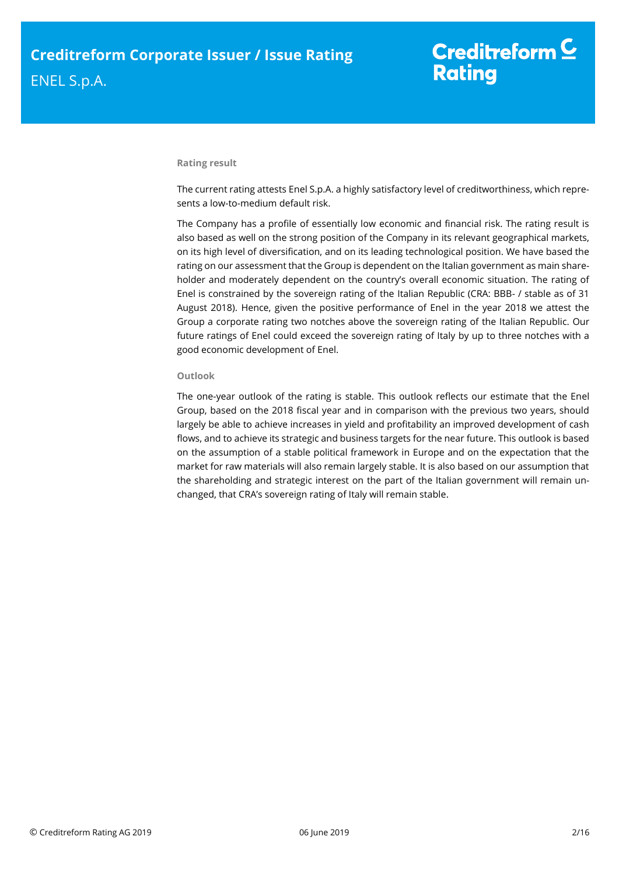### **Rating result**

The current rating attests Enel S.p.A. a highly satisfactory level of creditworthiness, which represents a low-to-medium default risk.

The Company has a profile of essentially low economic and financial risk. The rating result is also based as well on the strong position of the Company in its relevant geographical markets, on its high level of diversification, and on its leading technological position. We have based the rating on our assessment that the Group is dependent on the Italian government as main shareholder and moderately dependent on the country's overall economic situation. The rating of Enel is constrained by the sovereign rating of the Italian Republic (CRA: BBB- / stable as of 31 August 2018). Hence, given the positive performance of Enel in the year 2018 we attest the Group a corporate rating two notches above the sovereign rating of the Italian Republic. Our future ratings of Enel could exceed the sovereign rating of Italy by up to three notches with a good economic development of Enel.

### **Outlook**

<span id="page-1-0"></span>The one-year outlook of the rating is stable. This outlook reflects our estimate that the Enel Group, based on the 2018 fiscal year and in comparison with the previous two years, should largely be able to achieve increases in yield and profitability an improved development of cash flows, and to achieve its strategic and business targets for the near future. This outlook is based on the assumption of a stable political framework in Europe and on the expectation that the market for raw materials will also remain largely stable. It is also based on our assumption that the shareholding and strategic interest on the part of the Italian government will remain unchanged, that CRA's sovereign rating of Italy will remain stable.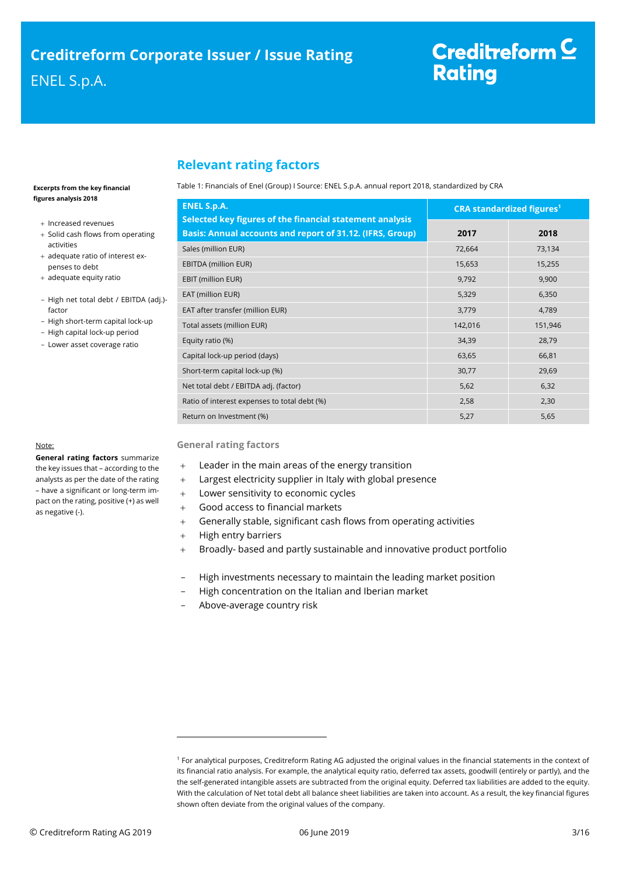# **Relevant rating factors**

#### **Excerpts from the key financial figures analysis 2018**

- + Increased revenues
- + Solid cash flows from operating activities
- + adequate ratio of interest expenses to debt
- + adequate equity ratio
- High net total debt / EBITDA (adj.) factor
- High short-term capital lock-up
- High capital lock-up period
- Lower asset coverage ratio

# Note:

**General rating factors** summarize the key issues that – according to the analysts as per the date of the rating – have a significant or long-term impact on the rating, positive (+) as well as negative (-).

#### Table 1: Financials of Enel (Group) I Source: ENEL S.p.A. annual report 2018, standardized by CRA

| <b>ENEL S.p.A.</b>                                                                                                    | <b>CRA standardized figures<sup>1</sup></b> |         |  |
|-----------------------------------------------------------------------------------------------------------------------|---------------------------------------------|---------|--|
| Selected key figures of the financial statement analysis<br>Basis: Annual accounts and report of 31.12. (IFRS, Group) | 2017                                        | 2018    |  |
| Sales (million EUR)                                                                                                   | 72,664                                      | 73,134  |  |
| EBITDA (million EUR)                                                                                                  | 15,653                                      | 15,255  |  |
| EBIT (million EUR)                                                                                                    | 9,792                                       | 9,900   |  |
| EAT (million EUR)                                                                                                     | 5,329                                       | 6,350   |  |
| EAT after transfer (million EUR)                                                                                      | 3,779                                       | 4,789   |  |
| Total assets (million EUR)                                                                                            | 142,016                                     | 151,946 |  |
| Equity ratio (%)                                                                                                      | 34,39                                       | 28,79   |  |
| Capital lock-up period (days)                                                                                         | 63,65                                       | 66,81   |  |
| Short-term capital lock-up (%)                                                                                        | 30,77                                       | 29,69   |  |
| Net total debt / EBITDA adj. (factor)                                                                                 | 5,62                                        | 6,32    |  |
| Ratio of interest expenses to total debt (%)                                                                          | 2,58                                        | 2,30    |  |
| Return on Investment (%)                                                                                              | 5,27                                        | 5,65    |  |

## **General rating factors**

- Leader in the main areas of the energy transition
- Largest electricity supplier in Italy with global presence
- Lower sensitivity to economic cycles
- Good access to financial markets
- Generally stable, significant cash flows from operating activities
- + High entry barriers

 $\overline{a}$ 

- Broadly- based and partly sustainable and innovative product portfolio
- High investments necessary to maintain the leading market position
- High concentration on the Italian and Iberian market
- Above-average country risk

<sup>1</sup> For analytical purposes, Creditreform Rating AG adjusted the original values in the financial statements in the context of its financial ratio analysis. For example, the analytical equity ratio, deferred tax assets, goodwill (entirely or partly), and the the self-generated intangible assets are subtracted from the original equity. Deferred tax liabilities are added to the equity. With the calculation of Net total debt all balance sheet liabilities are taken into account. As a result, the key financial figures shown often deviate from the original values of the company.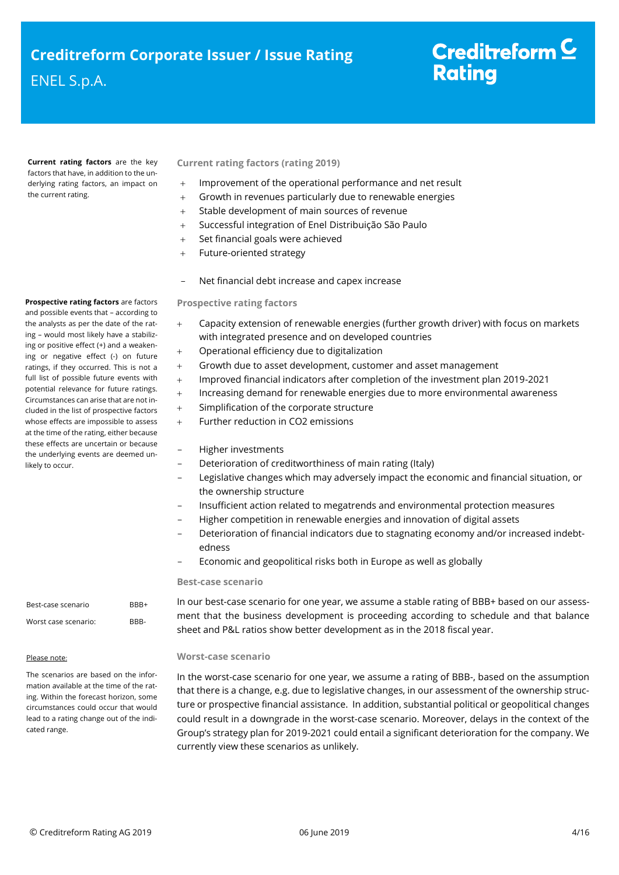**Current rating factors** are the key factors that have, in addition to the underlying rating factors, an impact on the current rating.

**Prospective rating factors** are factors and possible events that – according to the analysts as per the date of the rating – would most likely have a stabilizing or positive effect (+) and a weakening or negative effect (-) on future ratings, if they occurred. This is not a full list of possible future events with potential relevance for future ratings. Circumstances can arise that are not included in the list of prospective factors whose effects are impossible to assess at the time of the rating, either because these effects are uncertain or because the underlying events are deemed unlikely to occur.

# **Current rating factors (rating 2019)**

- Improvement of the operational performance and net result
- Growth in revenues particularly due to renewable energies
- Stable development of main sources of revenue
- Successful integration of Enel Distribuição São Paulo
- Set financial goals were achieved
- + Future-oriented strategy
- Net financial debt increase and capex increase

## **Prospective rating factors**

- Capacity extension of renewable energies (further growth driver) with focus on markets with integrated presence and on developed countries
- Operational efficiency due to digitalization
- Growth due to asset development, customer and asset management
- Improved financial indicators after completion of the investment plan 2019-2021
- Increasing demand for renewable energies due to more environmental awareness
- Simplification of the corporate structure
- Further reduction in CO2 emissions

# - Higher investments

- Deterioration of creditworthiness of main rating (Italy)
- Legislative changes which may adversely impact the economic and financial situation, or the ownership structure
- Insufficient action related to megatrends and environmental protection measures
- Higher competition in renewable energies and innovation of digital assets
- Deterioration of financial indicators due to stagnating economy and/or increased indebtedness
- Economic and geopolitical risks both in Europe as well as globally

#### **Best-case scenario**

In our best-case scenario for one year, we assume a stable rating of BBB+ based on our assessment that the business development is proceeding according to schedule and that balance sheet and P&L ratios show better development as in the 2018 fiscal year.

## **Worst-case scenario**

In the worst-case scenario for one year, we assume a rating of BBB-, based on the assumption that there is a change, e.g. due to legislative changes, in our assessment of the ownership structure or prospective financial assistance. In addition, substantial political or geopolitical changes could result in a downgrade in the worst-case scenario. Moreover, delays in the context of the Group's strategy plan for 2019-2021 could entail a significant deterioration for the company. We currently view these scenarios as unlikely.

Best-case scenario BBB+ Worst case scenario: BBB-

## Please note:

The scenarios are based on the information available at the time of the rating. Within the forecast horizon, some circumstances could occur that would lead to a rating change out of the indicated range.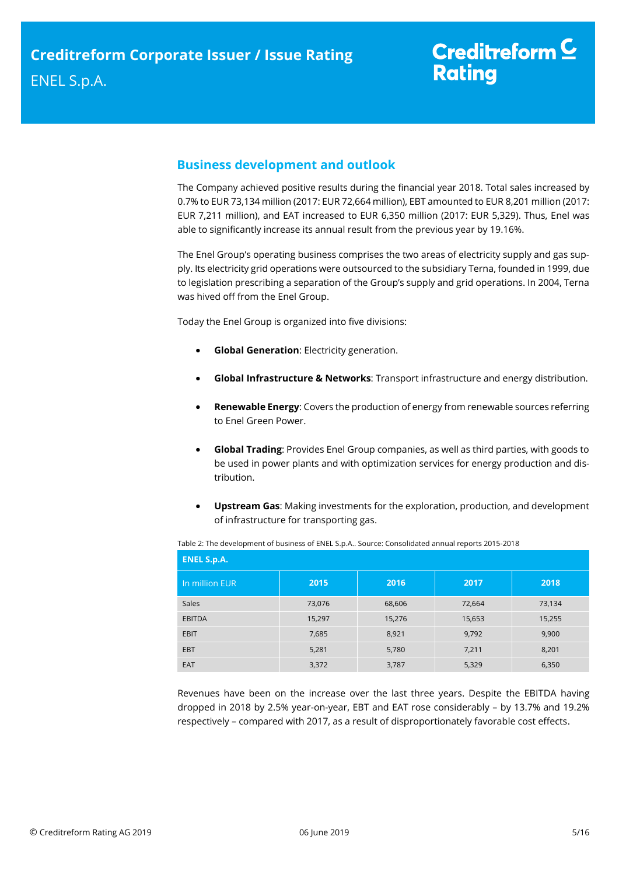# <span id="page-4-0"></span>**Business development and outlook**

The Company achieved positive results during the financial year 2018. Total sales increased by 0.7% to EUR 73,134 million (2017: EUR 72,664 million), EBT amounted to EUR 8,201 million (2017: EUR 7,211 million), and EAT increased to EUR 6,350 million (2017: EUR 5,329). Thus, Enel was able to significantly increase its annual result from the previous year by 19.16%.

The Enel Group's operating business comprises the two areas of electricity supply and gas supply. Its electricity grid operations were outsourced to the subsidiary Terna, founded in 1999, due to legislation prescribing a separation of the Group's supply and grid operations. In 2004, Terna was hived off from the Enel Group.

Today the Enel Group is organized into five divisions:

- **Global Generation**: Electricity generation.
- **Global Infrastructure & Networks**: Transport infrastructure and energy distribution.
- **Renewable Energy**: Covers the production of energy from renewable sources referring to [Enel Green Power.](https://en.wikipedia.org/wiki/Enel_Green_Power)
- **Global Trading**: Provides Enel Group companies, as well as third parties, with goods to be used in power plants and with optimization services for energy production and distribution.
- **Upstream Gas**: Making investments for the exploration, production, and development of infrastructure for transporting gas.

| <b>ENEL S.p.A.</b> |        |        |        |        |  |
|--------------------|--------|--------|--------|--------|--|
| In million EUR     | 2015   | 2016   | 2017   | 2018   |  |
| Sales              | 73,076 | 68,606 | 72,664 | 73,134 |  |
| <b>EBITDA</b>      | 15,297 | 15,276 | 15,653 | 15,255 |  |
| <b>EBIT</b>        | 7,685  | 8,921  | 9,792  | 9,900  |  |
| <b>EBT</b>         | 5,281  | 5,780  | 7,211  | 8,201  |  |
| EAT                | 3,372  | 3,787  | 5,329  | 6,350  |  |

Table 2: The development of business of ENEL S.p.A.. Source: Consolidated annual reports 2015-2018

Revenues have been on the increase over the last three years. Despite the EBITDA having dropped in 2018 by 2.5% year-on-year, EBT and EAT rose considerably – by 13.7% and 19.2% respectively – compared with 2017, as a result of disproportionately favorable cost effects.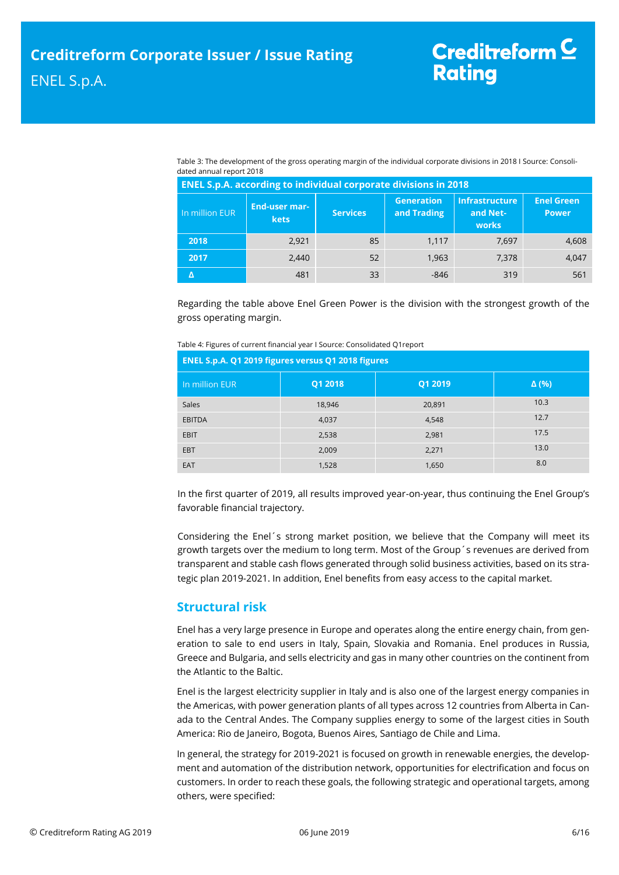Table 3: The development of the gross operating margin of the individual corporate divisions in 2018 I Source: Consolidated annual report 2018

| <b>ENEL S.p.A. according to individual corporate divisions in 2018</b> |                              |                 |                                  |                                            |                                   |  |  |
|------------------------------------------------------------------------|------------------------------|-----------------|----------------------------------|--------------------------------------------|-----------------------------------|--|--|
| In million EUR                                                         | <b>End-user mar-</b><br>kets | <b>Services</b> | <b>Generation</b><br>and Trading | <b>Infrastructure</b><br>and Net-<br>works | <b>Enel Green</b><br><b>Power</b> |  |  |
| 2018                                                                   | 2,921                        | 85              | 1.117                            | 7,697                                      | 4,608                             |  |  |
| 2017                                                                   | 2,440                        | 52              | 1.963                            | 7,378                                      | 4,047                             |  |  |
|                                                                        | 481                          | 33              | $-846$                           | 319                                        | 561                               |  |  |

Regarding the table above Enel Green Power is the division with the strongest growth of the gross operating margin.

| ENEL S.p.A. Q1 2019 figures versus Q1 2018 figures |         |         |              |  |  |
|----------------------------------------------------|---------|---------|--------------|--|--|
| In million EUR                                     | Q1 2018 | Q1 2019 | $\Delta$ (%) |  |  |
| <b>Sales</b>                                       | 18,946  | 20,891  | 10.3         |  |  |
| <b>EBITDA</b>                                      | 4,037   | 4,548   | 12.7         |  |  |
| <b>EBIT</b>                                        | 2,538   | 2,981   | 17.5         |  |  |
| <b>EBT</b>                                         | 2,009   | 2,271   | 13.0         |  |  |
| <b>EAT</b>                                         | 1,528   | 1,650   | 8.0          |  |  |

In the first quarter of 2019, all results improved year-on-year, thus continuing the Enel Group's favorable financial trajectory.

Considering the Enel´s strong market position, we believe that the Company will meet its growth targets over the medium to long term. Most of the Group´s revenues are derived from transparent and stable cash flows generated through solid business activities, based on its strategic plan 2019-2021. In addition, Enel benefits from easy access to the capital market.

# <span id="page-5-0"></span>**Structural risk**

Enel has a very large presence in Europe and operates along the entire energy chain, from generation to sale to end users in Italy, Spain, Slovakia and Romania. Enel produces in Russia, Greece and Bulgaria, and sells electricity and gas in many other countries on the continent from the Atlantic to the Baltic.

Enel is the largest electricity supplier in Italy and is also one of the largest energy companies in the Americas, with power generation plants of all types across 12 countries from Alberta in Canada to the Central Andes. The Company supplies energy to some of the largest cities in South America: Rio de Janeiro, Bogota, Buenos Aires, Santiago de Chile and Lima.

In general, the strategy for 2019-2021 is focused on growth in renewable energies, the development and automation of the distribution network, opportunities for electrification and focus on customers. In order to reach these goals, the following strategic and operational targets, among others, were specified: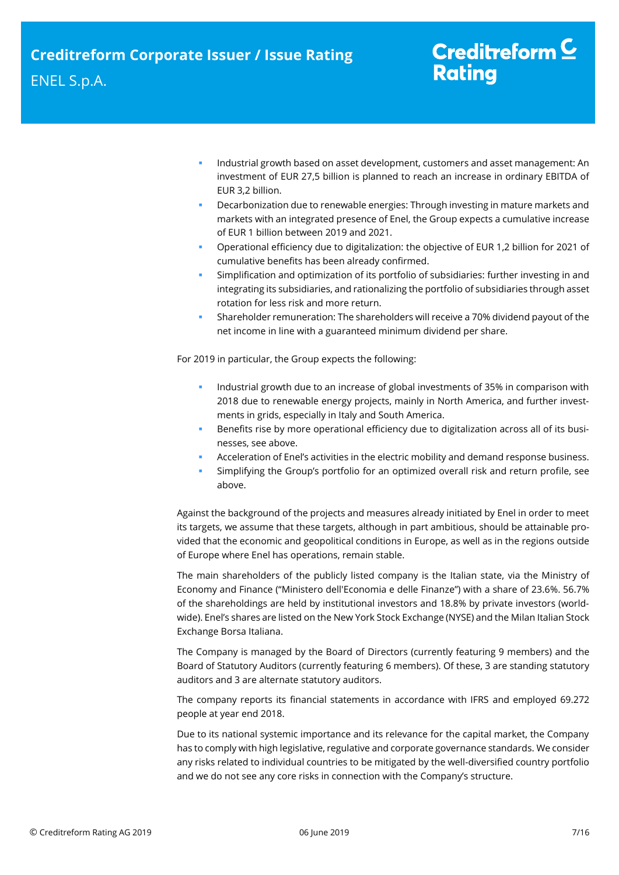- Industrial growth based on asset development, customers and asset management: An investment of EUR 27,5 billion is planned to reach an increase in ordinary EBITDA of EUR 3,2 billion.
- Decarbonization due to renewable energies: Through investing in mature markets and markets with an integrated presence of Enel, the Group expects a cumulative increase of EUR 1 billion between 2019 and 2021.
- Operational efficiency due to digitalization: the objective of EUR 1,2 billion for 2021 of cumulative benefits has been already confirmed.
- Simplification and optimization of its portfolio of subsidiaries: further investing in and integrating its subsidiaries, and rationalizing the portfolio of subsidiaries through asset rotation for less risk and more return.
- Shareholder remuneration: The shareholders will receive a 70% dividend payout of the net income in line with a guaranteed minimum dividend per share.

For 2019 in particular, the Group expects the following:

- Industrial growth due to an increase of global investments of 35% in comparison with 2018 due to renewable energy projects, mainly in North America, and further investments in grids, especially in Italy and South America.
- Benefits rise by more operational efficiency due to digitalization across all of its businesses, see above.
- Acceleration of Enel's activities in the electric mobility and demand response business.
- Simplifying the Group's portfolio for an optimized overall risk and return profile, see above.

Against the background of the projects and measures already initiated by Enel in order to meet its targets, we assume that these targets, although in part ambitious, should be attainable provided that the economic and geopolitical conditions in Europe, as well as in the regions outside of Europe where Enel has operations, remain stable.

The main shareholders of the publicly listed company is the Italian state, via the Ministry of Economy and Finance ("Ministero dell'Economia e delle Finanze") with a share of 23.6%. 56.7% of the shareholdings are held by institutional investors and 18.8% by private investors (worldwide). Enel's shares are listed on the New York Stock Exchange (NYSE) and the Milan Italian Stock Exchange Borsa Italiana.

The Company is managed by the Board of Directors (currently featuring 9 members) and the Board of Statutory Auditors (currently featuring 6 members). Of these, 3 are standing statutory auditors and 3 are alternate statutory auditors.

The company reports its financial statements in accordance with IFRS and employed 69.272 people at year end 2018.

Due to its national systemic importance and its relevance for the capital market, the Company has to comply with high legislative, regulative and corporate governance standards. We consider any risks related to individual countries to be mitigated by the well-diversified country portfolio and we do not see any core risks in connection with the Company's structure.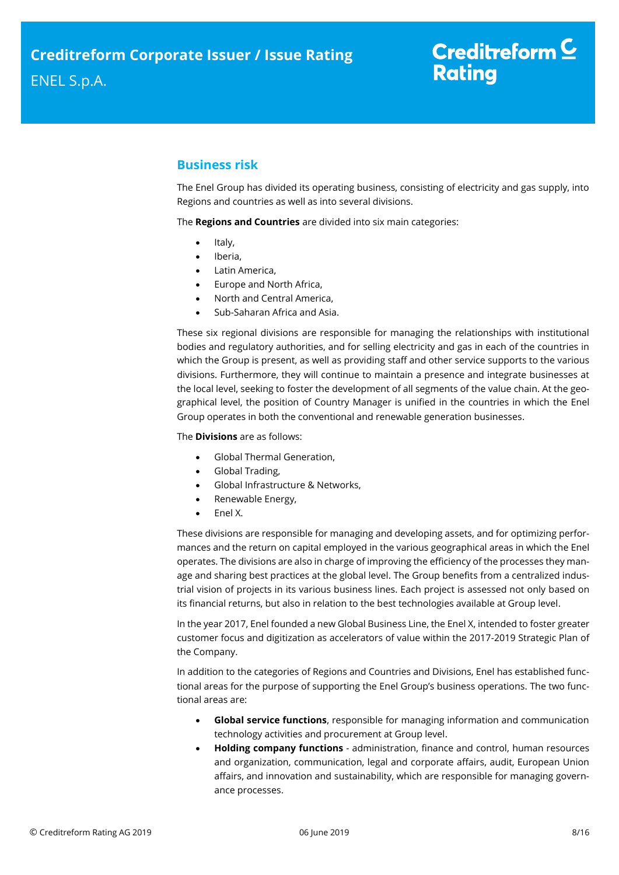# <span id="page-7-0"></span>**Business risk**

The Enel Group has divided its operating business, consisting of electricity and gas supply, into Regions and countries as well as into several divisions.

The **Regions and Countries** are divided into six main categories:

- $\bullet$  Italy,
- Iberia,
- Latin America,
- Europe and North Africa,
- North and Central America,
- Sub-Saharan Africa and Asia.

These six regional divisions are responsible for managing the relationships with institutional bodies and regulatory authorities, and for selling electricity and gas in each of the countries in which the Group is present, as well as providing staff and other service supports to the various divisions. Furthermore, they will continue to maintain a presence and integrate businesses at the local level, seeking to foster the development of all segments of the value chain. At the geographical level, the position of Country Manager is unified in the countries in which the Enel Group operates in both the conventional and renewable generation businesses.

The **Divisions** are as follows:

- Global Thermal Generation,
- Global Trading,
- Global Infrastructure & Networks,
- Renewable Energy,
- Enel X.

These divisions are responsible for managing and developing assets, and for optimizing performances and the return on capital employed in the various geographical areas in which the Enel operates. The divisions are also in charge of improving the efficiency of the processes they manage and sharing best practices at the global level. The Group benefits from a centralized industrial vision of projects in its various business lines. Each project is assessed not only based on its financial returns, but also in relation to the best technologies available at Group level.

In the year 2017, Enel founded a new Global Business Line, the Enel X, intended to foster greater customer focus and digitization as accelerators of value within the 2017-2019 Strategic Plan of the Company.

In addition to the categories of Regions and Countries and Divisions, Enel has established functional areas for the purpose of supporting the Enel Group's business operations. The two functional areas are:

- **Global service functions**, responsible for managing information and communication technology activities and procurement at Group level.
- **Holding company functions** administration, finance and control, human resources and organization, communication, legal and corporate affairs, audit, European Union affairs, and innovation and sustainability, which are responsible for managing governance processes.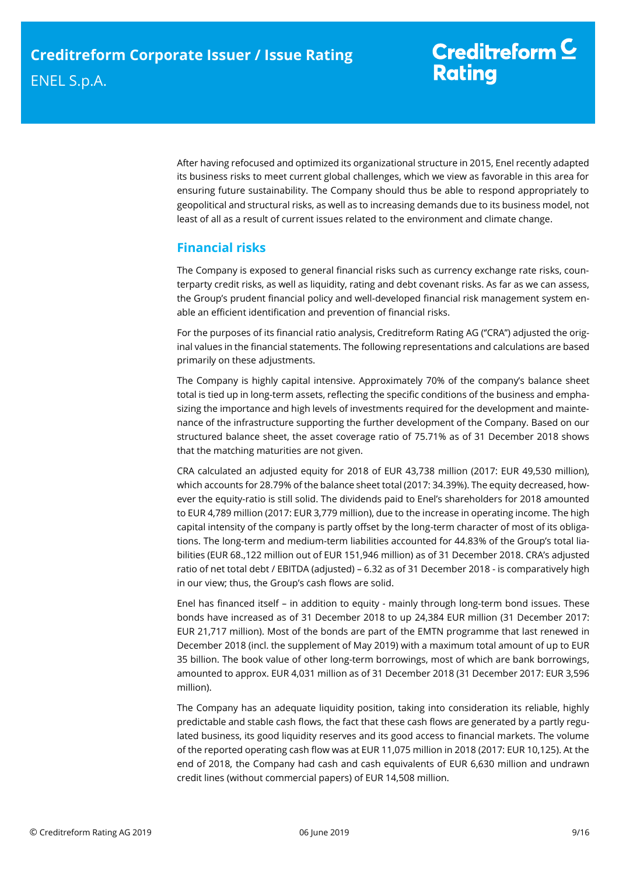After having refocused and optimized its organizational structure in 2015, Enel recently adapted its business risks to meet current global challenges, which we view as favorable in this area for ensuring future sustainability. The Company should thus be able to respond appropriately to geopolitical and structural risks, as well as to increasing demands due to its business model, not least of all as a result of current issues related to the environment and climate change.

# <span id="page-8-0"></span>**Financial risks**

The Company is exposed to general financial risks such as currency exchange rate risks, counterparty credit risks, as well as liquidity, rating and debt covenant risks. As far as we can assess, the Group's prudent financial policy and well-developed financial risk management system enable an efficient identification and prevention of financial risks.

For the purposes of its financial ratio analysis, Creditreform Rating AG (''CRA'') adjusted the original values in the financial statements. The following representations and calculations are based primarily on these adjustments.

The Company is highly capital intensive. Approximately 70% of the company's balance sheet total is tied up in long-term assets, reflecting the specific conditions of the business and emphasizing the importance and high levels of investments required for the development and maintenance of the infrastructure supporting the further development of the Company. Based on our structured balance sheet, the asset coverage ratio of 75.71% as of 31 December 2018 shows that the matching maturities are not given.

CRA calculated an adjusted equity for 2018 of EUR 43,738 million (2017: EUR 49,530 million), which accounts for 28.79% of the balance sheet total (2017: 34.39%). The equity decreased, however the equity-ratio is still solid. The dividends paid to Enel's shareholders for 2018 amounted to EUR 4,789 million (2017: EUR 3,779 million), due to the increase in operating income. The high capital intensity of the company is partly offset by the long-term character of most of its obligations. The long-term and medium-term liabilities accounted for 44.83% of the Group's total liabilities (EUR 68.,122 million out of EUR 151,946 million) as of 31 December 2018. CRA's adjusted ratio of net total debt / EBITDA (adjusted) – 6.32 as of 31 December 2018 - is comparatively high in our view; thus, the Group's cash flows are solid.

Enel has financed itself – in addition to equity - mainly through long-term bond issues. These bonds have increased as of 31 December 2018 to up 24,384 EUR million (31 December 2017: EUR 21,717 million). Most of the bonds are part of the EMTN programme that last renewed in December 2018 (incl. the supplement of May 2019) with a maximum total amount of up to EUR 35 billion. The book value of other long-term borrowings, most of which are bank borrowings, amounted to approx. EUR 4,031 million as of 31 December 2018 (31 December 2017: EUR 3,596 million).

The Company has an adequate liquidity position, taking into consideration its reliable, highly predictable and stable cash flows, the fact that these cash flows are generated by a partly regulated business, its good liquidity reserves and its good access to financial markets. The volume of the reported operating cash flow was at EUR 11,075 million in 2018 (2017: EUR 10,125). At the end of 2018, the Company had cash and cash equivalents of EUR 6,630 million and undrawn credit lines (without commercial papers) of EUR 14,508 million.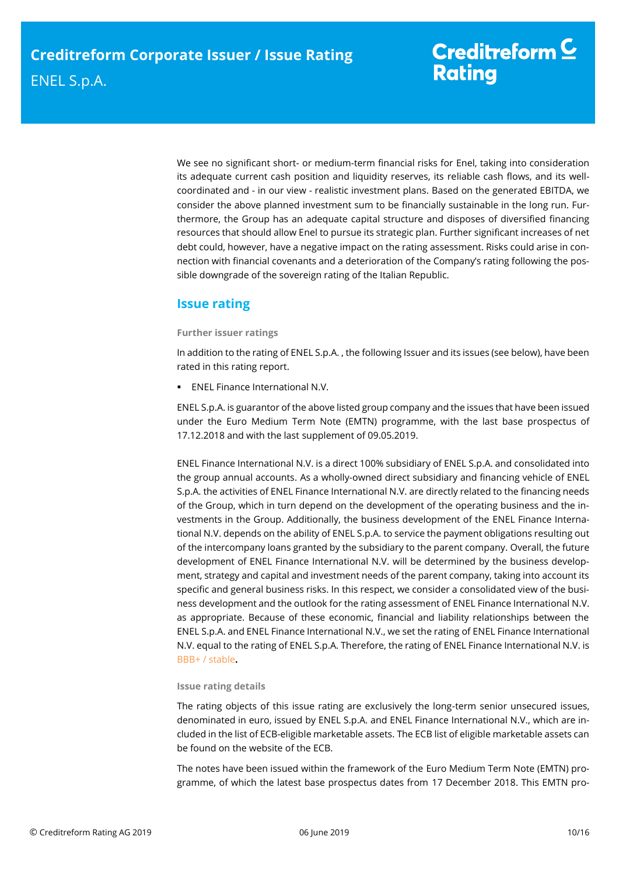We see no significant short- or medium-term financial risks for Enel, taking into consideration its adequate current cash position and liquidity reserves, its reliable cash flows, and its wellcoordinated and - in our view - realistic investment plans. Based on the generated EBITDA, we consider the above planned investment sum to be financially sustainable in the long run. Furthermore, the Group has an adequate capital structure and disposes of diversified financing resources that should allow Enel to pursue its strategic plan. Further significant increases of net debt could, however, have a negative impact on the rating assessment. Risks could arise in connection with financial covenants and a deterioration of the Company's rating following the possible downgrade of the sovereign rating of the Italian Republic.

# <span id="page-9-0"></span>**Issue rating**

# **Further issuer ratings**

In addition to the rating of ENEL S.p.A. , the following Issuer and its issues (see below), have been rated in this rating report.

**ENEL Finance International N.V.** 

ENEL S.p.A. is guarantor of the above listed group company and the issues that have been issued under the Euro Medium Term Note (EMTN) programme, with the last base prospectus of 17.12.2018 and with the last supplement of 09.05.2019.

ENEL Finance International N.V. is a direct 100% subsidiary of ENEL S.p.A. and consolidated into the group annual accounts. As a wholly-owned direct subsidiary and financing vehicle of ENEL S.p.A. the activities of ENEL Finance International N.V. are directly related to the financing needs of the Group, which in turn depend on the development of the operating business and the investments in the Group. Additionally, the business development of the ENEL Finance International N.V. depends on the ability of ENEL S.p.A. to service the payment obligations resulting out of the intercompany loans granted by the subsidiary to the parent company. Overall, the future development of ENEL Finance International N.V. will be determined by the business development, strategy and capital and investment needs of the parent company, taking into account its specific and general business risks. In this respect, we consider a consolidated view of the business development and the outlook for the rating assessment of ENEL Finance International N.V. as appropriate. Because of these economic, financial and liability relationships between the ENEL S.p.A. and ENEL Finance International N.V., we set the rating of ENEL Finance International N.V. equal to the rating of ENEL S.p.A. Therefore, the rating of ENEL Finance International N.V. is BBB+ / stable**.**

## **Issue rating details**

The rating objects of this issue rating are exclusively the long-term senior unsecured issues, denominated in euro, issued by ENEL S.p.A. and ENEL Finance International N.V., which are included in the list of ECB-eligible marketable assets. The ECB list of eligible marketable assets can be found on the website of the ECB.

The notes have been issued within the framework of the Euro Medium Term Note (EMTN) programme, of which the latest base prospectus dates from 17 December 2018. This EMTN pro-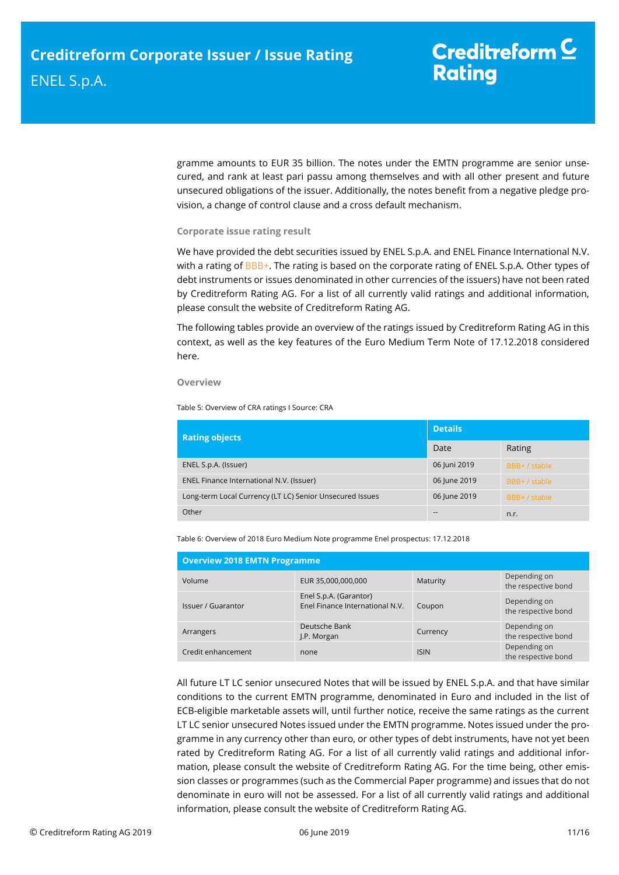gramme amounts to EUR 35 billion. The notes under the EMTN programme are senior unsecured, and rank at least pari passu among themselves and with all other present and future unsecured obligations of the issuer. Additionally, the notes benefit from a negative pledge provision, a change of control clause and a cross default mechanism.

## **Corporate issue rating result**

We have provided the debt securities issued by ENEL S.p.A. and ENEL Finance International N.V. with a rating of BBB+. The rating is based on the corporate rating of ENEL S.p.A. Other types of debt instruments or issues denominated in other currencies of the issuers) have not been rated by Creditreform Rating AG. For a list of all currently valid ratings and additional information, please consult the website of Creditreform Rating AG.

The following tables provide an overview of the ratings issued by Creditreform Rating AG in this context, as well as the key features of the Euro Medium Term Note of 17.12.2018 considered here.

### **Overview**

Table 5: Overview of CRA ratings I Source: CRA

| <b>Rating objects</b>                                    | <b>Details</b> |               |  |
|----------------------------------------------------------|----------------|---------------|--|
|                                                          | Date           | Rating        |  |
| ENEL S.p.A. (Issuer)                                     | 06 Juni 2019   | BBB+ / stable |  |
| ENEL Finance International N.V. (Issuer)                 | 06 June 2019   | BBB+ / stable |  |
| Long-term Local Currency (LT LC) Senior Unsecured Issues | 06 June 2019   | BBB+ / stable |  |
| Other                                                    |                | n.r.          |  |

Table 6: Overview of 2018 Euro Medium Note programme Enel prospectus: 17.12.2018

| <b>Overview 2018 EMTN Programme</b> |                                                           |             |                                     |  |
|-------------------------------------|-----------------------------------------------------------|-------------|-------------------------------------|--|
| Volume                              | EUR 35,000,000,000                                        | Maturity    | Depending on<br>the respective bond |  |
| Issuer / Guarantor                  | Enel S.p.A. (Garantor)<br>Enel Finance International N.V. | Coupon      | Depending on<br>the respective bond |  |
| Arrangers                           | Deutsche Bank<br>J.P. Morgan                              | Currency    | Depending on<br>the respective bond |  |
| Credit enhancement                  | none                                                      | <b>ISIN</b> | Depending on<br>the respective bond |  |

All future LT LC senior unsecured Notes that will be issued by ENEL S.p.A. and that have similar conditions to the current EMTN programme, denominated in Euro and included in the list of ECB-eligible marketable assets will, until further notice, receive the same ratings as the current LT LC senior unsecured Notes issued under the EMTN programme. Notes issued under the programme in any currency other than euro, or other types of debt instruments, have not yet been rated by Creditreform Rating AG. For a list of all currently valid ratings and additional information, please consult the website of Creditreform Rating AG. For the time being, other emission classes or programmes (such as the Commercial Paper programme) and issues that do not denominate in euro will not be assessed. For a list of all currently valid ratings and additional information, please consult the website of Creditreform Rating AG.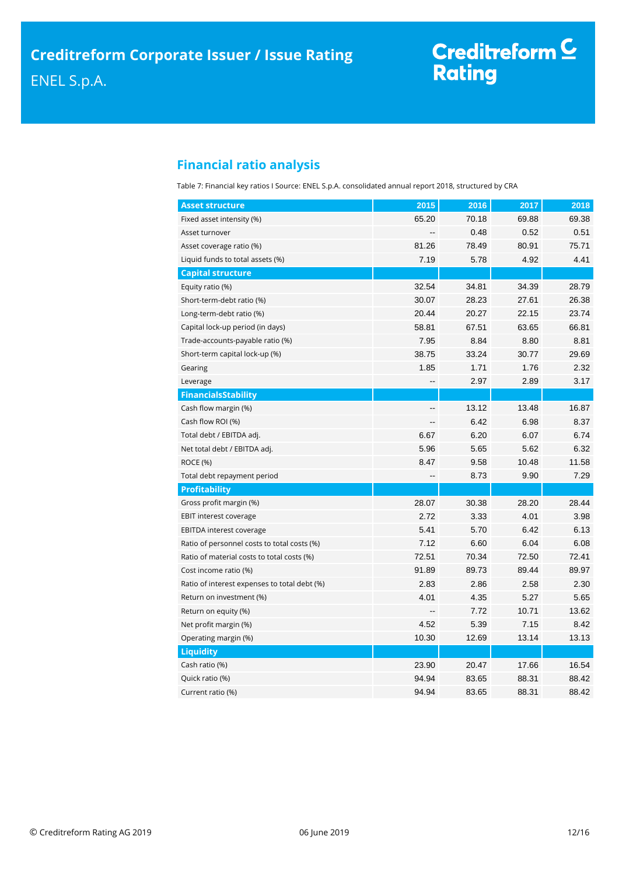# Creditreform C<br>Rating

# <span id="page-11-0"></span>**Financial ratio analysis**

Table 7: Financial key ratios I Source: ENEL S.p.A. consolidated annual report 2018, structured by CRA

| <b>Asset structure</b>                       | 2015                     | 2016  | 2017  | 2018  |
|----------------------------------------------|--------------------------|-------|-------|-------|
| Fixed asset intensity (%)                    | 65.20                    | 70.18 | 69.88 | 69.38 |
| Asset turnover                               |                          | 0.48  | 0.52  | 0.51  |
| Asset coverage ratio (%)                     | 81.26                    | 78.49 | 80.91 | 75.71 |
| Liquid funds to total assets (%)             | 7.19                     | 5.78  | 4.92  | 4.41  |
| <b>Capital structure</b>                     |                          |       |       |       |
| Equity ratio (%)                             | 32.54                    | 34.81 | 34.39 | 28.79 |
| Short-term-debt ratio (%)                    | 30.07                    | 28.23 | 27.61 | 26.38 |
| Long-term-debt ratio (%)                     | 20.44                    | 20.27 | 22.15 | 23.74 |
| Capital lock-up period (in days)             | 58.81                    | 67.51 | 63.65 | 66.81 |
| Trade-accounts-payable ratio (%)             | 7.95                     | 8.84  | 8.80  | 8.81  |
| Short-term capital lock-up (%)               | 38.75                    | 33.24 | 30.77 | 29.69 |
| Gearing                                      | 1.85                     | 1.71  | 1.76  | 2.32  |
| Leverage                                     | $\overline{\phantom{a}}$ | 2.97  | 2.89  | 3.17  |
| <b>FinancialsStability</b>                   |                          |       |       |       |
| Cash flow margin (%)                         | --                       | 13.12 | 13.48 | 16.87 |
| Cash flow ROI (%)                            |                          | 6.42  | 6.98  | 8.37  |
| Total debt / EBITDA adj.                     | 6.67                     | 6.20  | 6.07  | 6.74  |
| Net total debt / EBITDA adj.                 | 5.96                     | 5.65  | 5.62  | 6.32  |
| <b>ROCE (%)</b>                              | 8.47                     | 9.58  | 10.48 | 11.58 |
| Total debt repayment period                  |                          | 8.73  | 9.90  | 7.29  |
| <b>Profitability</b>                         |                          |       |       |       |
| Gross profit margin (%)                      | 28.07                    | 30.38 | 28.20 | 28.44 |
| EBIT interest coverage                       | 2.72                     | 3.33  | 4.01  | 3.98  |
| EBITDA interest coverage                     | 5.41                     | 5.70  | 6.42  | 6.13  |
| Ratio of personnel costs to total costs (%)  | 7.12                     | 6.60  | 6.04  | 6.08  |
| Ratio of material costs to total costs (%)   | 72.51                    | 70.34 | 72.50 | 72.41 |
| Cost income ratio (%)                        | 91.89                    | 89.73 | 89.44 | 89.97 |
| Ratio of interest expenses to total debt (%) | 2.83                     | 2.86  | 2.58  | 2.30  |
| Return on investment (%)                     | 4.01                     | 4.35  | 5.27  | 5.65  |
| Return on equity (%)                         |                          | 7.72  | 10.71 | 13.62 |
| Net profit margin (%)                        | 4.52                     | 5.39  | 7.15  | 8.42  |
| Operating margin (%)                         | 10.30                    | 12.69 | 13.14 | 13.13 |
| <b>Liquidity</b>                             |                          |       |       |       |
| Cash ratio (%)                               | 23.90                    | 20.47 | 17.66 | 16.54 |
| Quick ratio (%)                              | 94.94                    | 83.65 | 88.31 | 88.42 |
| Current ratio (%)                            | 94.94                    | 83.65 | 88.31 | 88.42 |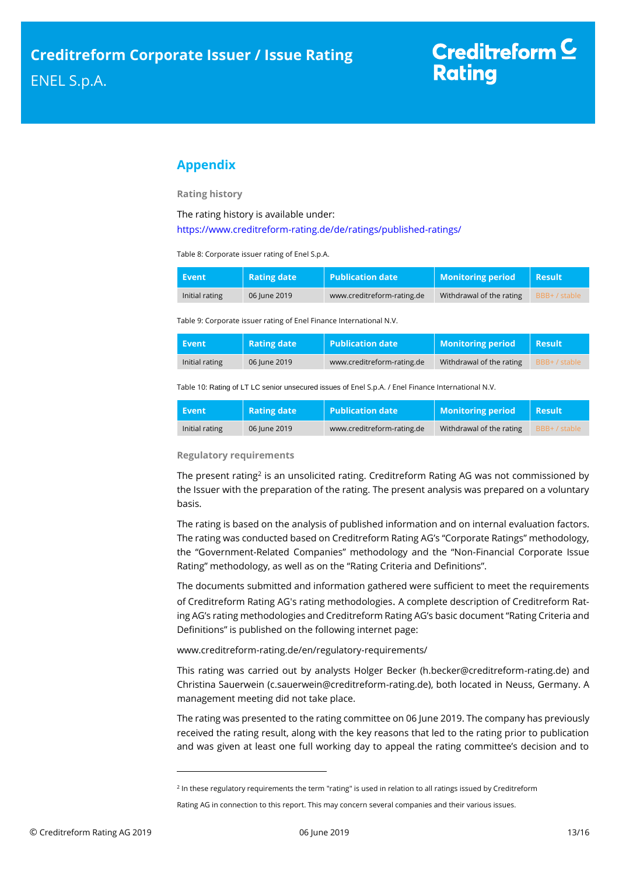# <span id="page-12-0"></span>**Appendix**

**Rating history**

The rating history is available under:

<https://www.creditreform-rating.de/de/ratings/published-ratings/>

Table 8: Corporate issuer rating of Enel S.p.A.

| Event          | <b>Rating date</b> | $\blacksquare$ Publication date | <b>Monitoring period</b> | Result        |
|----------------|--------------------|---------------------------------|--------------------------|---------------|
| Initial rating | 06 June 2019       | www.creditreform-rating.de      | Withdrawal of the rating | BBB+ / stable |

Table 9: Corporate issuer rating of Enel Finance International N.V.

| Event          | <b>Rating date</b> | <b>Publication date</b>    | <b>Monitoring period</b> | <b>Result</b> |
|----------------|--------------------|----------------------------|--------------------------|---------------|
| Initial rating | 06 June 2019       | www.creditreform-rating.de | Withdrawal of the rating | BBB+ / stable |

Table 10: Rating of LT LC senior unsecured issues of Enel S.p.A. / Enel Finance International N.V.

| <b>Event</b>   | <b>Rating date</b> | $\sf I\hspace{-1.4pt}I$ Publication date $\sf I$ | <b>Monitoring period</b> | <b>Result</b> |
|----------------|--------------------|--------------------------------------------------|--------------------------|---------------|
| Initial rating | 06 lune 2019       | www.creditreform-rating.de                       | Withdrawal of the rating | BBB+ / stable |

### **Regulatory requirements**

The present rating<sup>2</sup> is an unsolicited rating. Creditreform Rating AG was not commissioned by the Issuer with the preparation of the rating. The present analysis was prepared on a voluntary basis.

The rating is based on the analysis of published information and on internal evaluation factors. The rating was conducted based on Creditreform Rating AG's "Corporate Ratings" methodology, the "Government-Related Companies" methodology and the "Non-Financial Corporate Issue Rating" methodology, as well as on the "Rating Criteria and Definitions".

The documents submitted and information gathered were sufficient to meet the requirements of Creditreform Rating AG's rating methodologies. A complete description of Creditreform Rating AG's rating methodologies and Creditreform Rating AG's basic document "Rating Criteria and Definitions" is published on the following internet page:

[www.creditreform-rating.de/en/regulatory-requirements/](http://www.creditreform-rating.de/en/regulatory-requirements/)

This rating was carried out by analysts Holger Becker (h.becker@creditreform-rating.de) and Christina Sauerwein (c.sauerwein@creditreform-rating.de), both located in Neuss, Germany. A management meeting did not take place.

The rating was presented to the rating committee on 06 June 2019. The company has previously received the rating result, along with the key reasons that led to the rating prior to publication and was given at least one full working day to appeal the rating committee's decision and to

 $\overline{a}$ 

<sup>&</sup>lt;sup>2</sup> In these regulatory requirements the term "rating" is used in relation to all ratings issued by Creditreform

Rating AG in connection to this report. This may concern several companies and their various issues.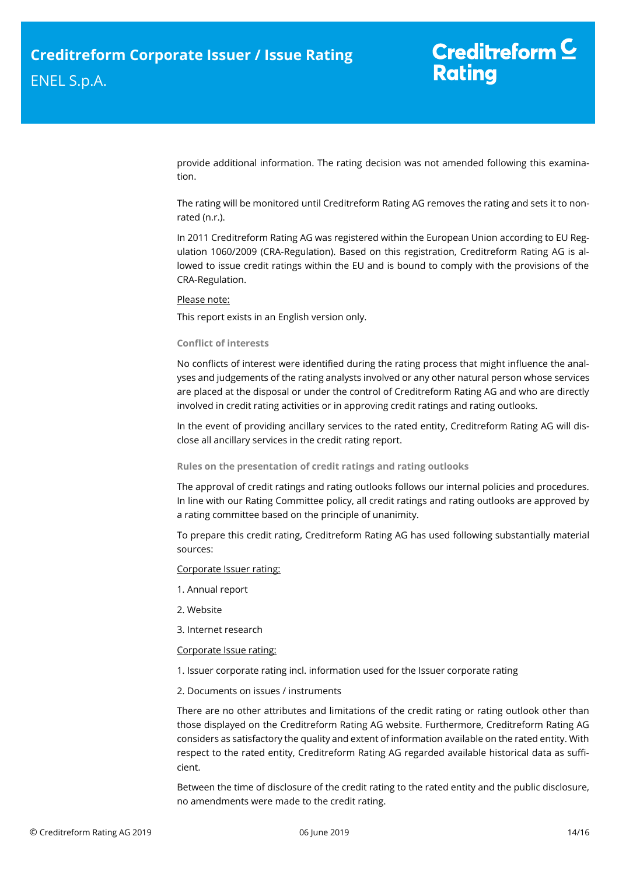provide additional information. The rating decision was not amended following this examination.

The rating will be monitored until Creditreform Rating AG removes the rating and sets it to nonrated (n.r.).

In 2011 Creditreform Rating AG was registered within the European Union according to EU Regulation 1060/2009 (CRA-Regulation). Based on this registration, Creditreform Rating AG is allowed to issue credit ratings within the EU and is bound to comply with the provisions of the CRA-Regulation.

# Please note:

This report exists in an English version only.

# **Conflict of interests**

No conflicts of interest were identified during the rating process that might influence the analyses and judgements of the rating analysts involved or any other natural person whose services are placed at the disposal or under the control of Creditreform Rating AG and who are directly involved in credit rating activities or in approving credit ratings and rating outlooks.

In the event of providing ancillary services to the rated entity, Creditreform Rating AG will disclose all ancillary services in the credit rating report.

## **Rules on the presentation of credit ratings and rating outlooks**

The approval of credit ratings and rating outlooks follows our internal policies and procedures. In line with our Rating Committee policy, all credit ratings and rating outlooks are approved by a rating committee based on the principle of unanimity.

To prepare this credit rating, Creditreform Rating AG has used following substantially material sources:

## Corporate Issuer rating:

- 1. Annual report
- 2. Website
- 3. Internet research

## Corporate Issue rating:

- 1. Issuer corporate rating incl. information used for the Issuer corporate rating
- 2. Documents on issues / instruments

There are no other attributes and limitations of the credit rating or rating outlook other than those displayed on the Creditreform Rating AG website. Furthermore, Creditreform Rating AG considers as satisfactory the quality and extent of information available on the rated entity. With respect to the rated entity, Creditreform Rating AG regarded available historical data as sufficient.

Between the time of disclosure of the credit rating to the rated entity and the public disclosure, no amendments were made to the credit rating.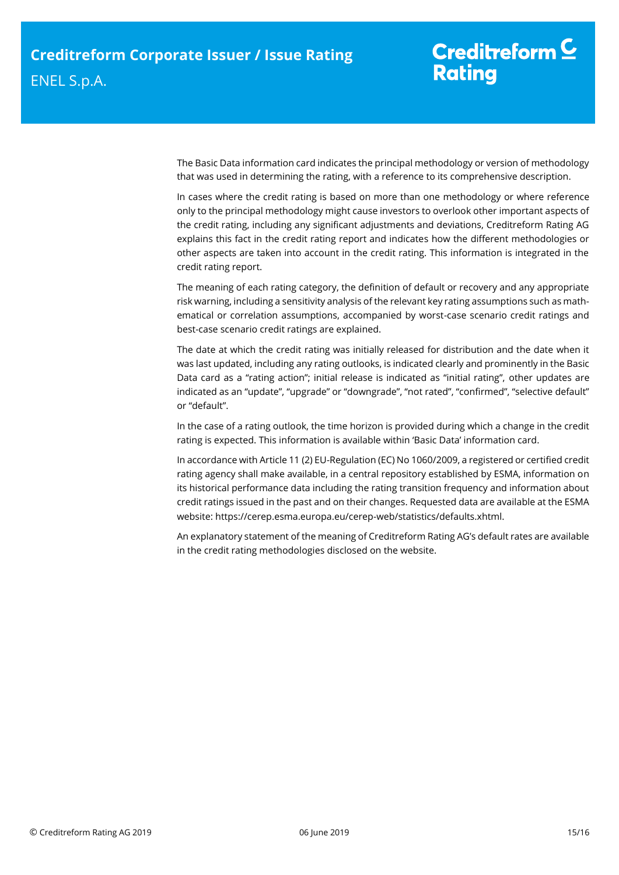The Basic Data information card indicates the principal methodology or version of methodology that was used in determining the rating, with a reference to its comprehensive description.

In cases where the credit rating is based on more than one methodology or where reference only to the principal methodology might cause investors to overlook other important aspects of the credit rating, including any significant adjustments and deviations, Creditreform Rating AG explains this fact in the credit rating report and indicates how the different methodologies or other aspects are taken into account in the credit rating. This information is integrated in the credit rating report.

The meaning of each rating category, the definition of default or recovery and any appropriate risk warning, including a sensitivity analysis of the relevant key rating assumptions such as mathematical or correlation assumptions, accompanied by worst-case scenario credit ratings and best-case scenario credit ratings are explained.

The date at which the credit rating was initially released for distribution and the date when it was last updated, including any rating outlooks, is indicated clearly and prominently in the Basic Data card as a "rating action"; initial release is indicated as "initial rating", other updates are indicated as an "update", "upgrade" or "downgrade", "not rated", "confirmed", "selective default" or "default".

In the case of a rating outlook, the time horizon is provided during which a change in the credit rating is expected. This information is available within 'Basic Data' information card.

In accordance with Article 11 (2) EU-Regulation (EC) No 1060/2009, a registered or certified credit rating agency shall make available, in a central repository established by ESMA, information on its historical performance data including the rating transition frequency and information about credit ratings issued in the past and on their changes. Requested data are available at the ESMA website: https://cerep.esma.europa.eu/cerep-web/statistics/defaults.xhtml.

An explanatory statement of the meaning of Creditreform Rating AG's default rates are available in the credit rating methodologies disclosed on the website.